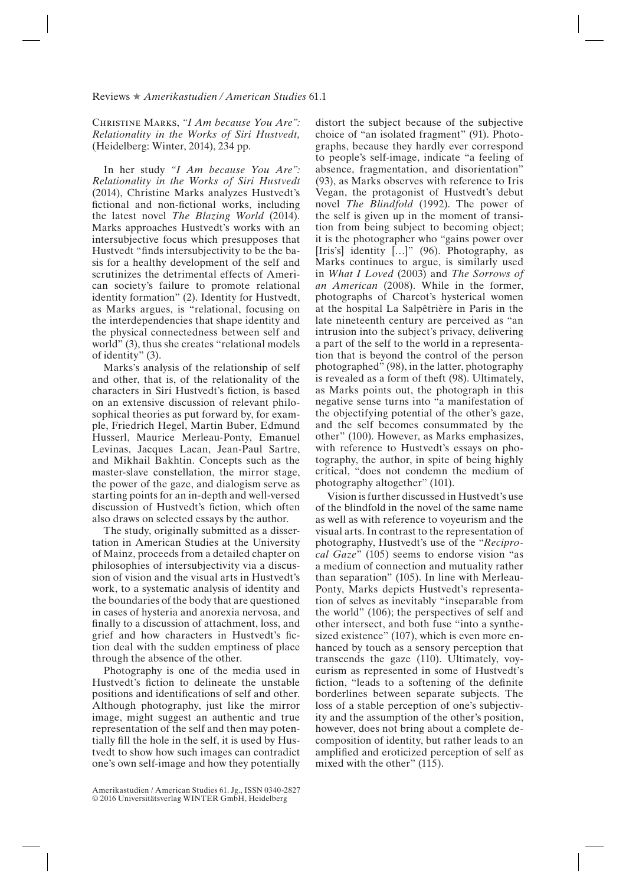## Reviews ★ *Amerikastudien / American Studies* 61.1

## Christine Marks, *"I Am because You Are": Relationality in the Works of Siri Hustvedt,*  (Heidelberg: Winter, 2014), 234 pp.

In her study *"I Am because You Are": Relationality in the Works of Siri Hustvedt* (2014), Christine Marks analyzes Hustvedt's fctional and non-fctional works, including the latest novel *The Blazing World* (2014). Marks approaches Hustvedt's works with an intersubjective focus which presupposes that Hustvedt "fnds intersubjectivity to be the basis for a healthy development of the self and scrutinizes the detrimental effects of American society's failure to promote relational identity formation" (2). Identity for Hustvedt, as Marks argues, is "relational, focusing on the interdependencies that shape identity and the physical connectedness between self and world" (3), thus she creates "relational models of identity" (3).

Marks's analysis of the relationship of self and other, that is, of the relationality of the characters in Siri Hustvedt's fction, is based on an extensive discussion of relevant philosophical theories as put forward by, for example, Friedrich Hegel, Martin Buber, Edmund Husserl, Maurice Merleau-Ponty, Emanuel Levinas, Jacques Lacan, Jean-Paul Sartre, and Mikhail Bakhtin. Concepts such as the master-slave constellation, the mirror stage, the power of the gaze, and dialogism serve as starting points for an in-depth and well-versed discussion of Hustvedt's fiction, which often also draws on selected essays by the author.

The study, originally submitted as a dissertation in American Studies at the University of Mainz, proceeds from a detailed chapter on philosophies of intersubjectivity via a discussion of vision and the visual arts in Hustvedt's work, to a systematic analysis of identity and the boundaries of the body that are questioned in cases of hysteria and anorexia nervosa, and fnally to a discussion of attachment, loss, and grief and how characters in Hustvedt's fction deal with the sudden emptiness of place through the absence of the other.

Photography is one of the media used in Hustvedt's fiction to delineate the unstable positions and identifcations of self and other. Although photography, just like the mirror image, might suggest an authentic and true representation of the self and then may potentially fll the hole in the self, it is used by Hustvedt to show how such images can contradict one's own self-image and how they potentially

Amerikastudien / American Studies 61. Jg., ISSN 0340-2827 © 2016 Universitätsverlag WINTER GmbH, Heidelberg

distort the subject because of the subjective choice of "an isolated fragment" (91). Photographs, because they hardly ever correspond to people's self-image, indicate "a feeling of absence, fragmentation, and disorientation" (93), as Marks observes with reference to Iris Vegan, the protagonist of Hustvedt's debut novel *The Blindfold* (1992). The power of the self is given up in the moment of transition from being subject to becoming object; it is the photographer who "gains power over [Iris's] identity [...]" (96). Photography, as Marks continues to argue, is similarly used in *What I Loved* (2003) and *The Sorrows of an American* (2008). While in the former, photographs of Charcot's hysterical women at the hospital La Salpêtrière in Paris in the late nineteenth century are perceived as "an intrusion into the subject's privacy, delivering a part of the self to the world in a representation that is beyond the control of the person photographed" (98), in the latter, photography is revealed as a form of theft (98). Ultimately, as Marks points out, the photograph in this negative sense turns into "a manifestation of the objectifying potential of the other's gaze, and the self becomes consummated by the other" (100). However, as Marks emphasizes, with reference to Hustvedt's essays on photography, the author, in spite of being highly critical, "does not condemn the medium of photography altogether" (101).

Vision is further discussed in Hustvedt's use of the blindfold in the novel of the same name as well as with reference to voyeurism and the visual arts. In contrast to the representation of photography, Hustvedt's use of the "*Reciprocal Gaze*" (105) seems to endorse vision "as a medium of connection and mutuality rather than separation" (105). In line with Merleau-Ponty, Marks depicts Hustvedt's representation of selves as inevitably "inseparable from the world" (106); the perspectives of self and other intersect, and both fuse "into a synthesized existence" (107), which is even more enhanced by touch as a sensory perception that transcends the gaze (110). Ultimately, voyeurism as represented in some of Hustvedt's fction, "leads to a softening of the defnite borderlines between separate subjects. The loss of a stable perception of one's subjectivity and the assumption of the other's position, however, does not bring about a complete decomposition of identity, but rather leads to an amplifed and eroticized perception of self as mixed with the other" (115).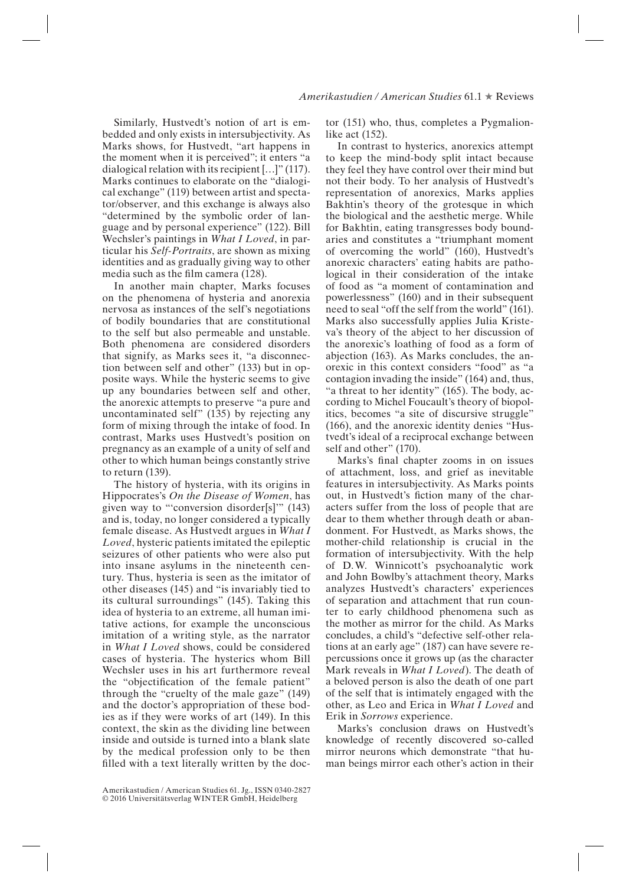Similarly, Hustvedt's notion of art is embedded and only exists in intersubjectivity. As Marks shows, for Hustvedt, "art happens in the moment when it is perceived"; it enters "a dialogical relation with its recipient […]" (117). Marks continues to elaborate on the "dialogical exchange" (119) between artist and spectator/observer, and this exchange is always also "determined by the symbolic order of language and by personal experience" (122). Bill Wechsler's paintings in *What I Loved*, in particular his *Self-Portraits*, are shown as mixing identities and as gradually giving way to other media such as the flm camera (128).

In another main chapter, Marks focuses on the phenomena of hysteria and anorexia nervosa as instances of the self's negotiations of bodily boundaries that are constitutional to the self but also permeable and unstable. Both phenomena are considered disorders that signify, as Marks sees it, "a disconnection between self and other" (133) but in opposite ways. While the hysteric seems to give up any boundaries between self and other, the anorexic attempts to preserve "a pure and uncontaminated self" (135) by rejecting any form of mixing through the intake of food. In contrast, Marks uses Hustvedt's position on pregnancy as an example of a unity of self and other to which human beings constantly strive to return (139).

The history of hysteria, with its origins in Hippocrates's *On the Disease of Women*, has given way to "'conversion disorder[s]'" (143) and is, today, no longer considered a typically female disease. As Hustvedt argues in *What I Loved*, hysteric patients imitated the epileptic seizures of other patients who were also put into insane asylums in the nineteenth century. Thus, hysteria is seen as the imitator of other diseases (145) and "is invariably tied to its cultural surroundings" (145). Taking this idea of hysteria to an extreme, all human imitative actions, for example the unconscious imitation of a writing style, as the narrator in *What I Loved* shows, could be considered cases of hysteria. The hysterics whom Bill Wechsler uses in his art furthermore reveal the "objectifcation of the female patient" through the "cruelty of the male gaze" (149) and the doctor's appropriation of these bodies as if they were works of art (149). In this context, the skin as the dividing line between inside and outside is turned into a blank slate by the medical profession only to be then flled with a text literally written by the doctor (151) who, thus, completes a Pygmalionlike act (152).

In contrast to hysterics, anorexics attempt to keep the mind-body split intact because they feel they have control over their mind but not their body. To her analysis of Hustvedt's representation of anorexics, Marks applies Bakhtin's theory of the grotesque in which the biological and the aesthetic merge. While for Bakhtin, eating transgresses body boundaries and constitutes a "triumphant moment of overcoming the world" (160), Hustvedt's anorexic characters' eating habits are pathological in their consideration of the intake of food as "a moment of contamination and powerlessness" (160) and in their subsequent need to seal "off the self from the world" (161). Marks also successfully applies Julia Kristeva's theory of the abject to her discussion of the anorexic's loathing of food as a form of abjection (163). As Marks concludes, the anorexic in this context considers "food" as "a contagion invading the inside" (164) and, thus, "a threat to her identity" (165). The body, according to Michel Foucault's theory of biopolitics, becomes "a site of discursive struggle" (166), and the anorexic identity denies "Hustvedt's ideal of a reciprocal exchange between self and other" (170).

Marks's fnal chapter zooms in on issues of attachment, loss, and grief as inevitable features in intersubjectivity. As Marks points out, in Hustvedt's fction many of the characters suffer from the loss of people that are dear to them whether through death or abandonment. For Hustvedt, as Marks shows, the mother-child relationship is crucial in the formation of intersubjectivity. With the help of D.W. Winnicott's psychoanalytic work and John Bowlby's attachment theory, Marks analyzes Hustvedt's characters' experiences of separation and attachment that run counter to early childhood phenomena such as the mother as mirror for the child. As Marks concludes, a child's "defective self-other relations at an early age" (187) can have severe repercussions once it grows up (as the character Mark reveals in *What I Loved*). The death of a beloved person is also the death of one part of the self that is intimately engaged with the other, as Leo and Erica in *What I Loved* and Erik in *Sorrows* experience.

Marks's conclusion draws on Hustvedt's knowledge of recently discovered so-called mirror neurons which demonstrate "that human beings mirror each other's action in their